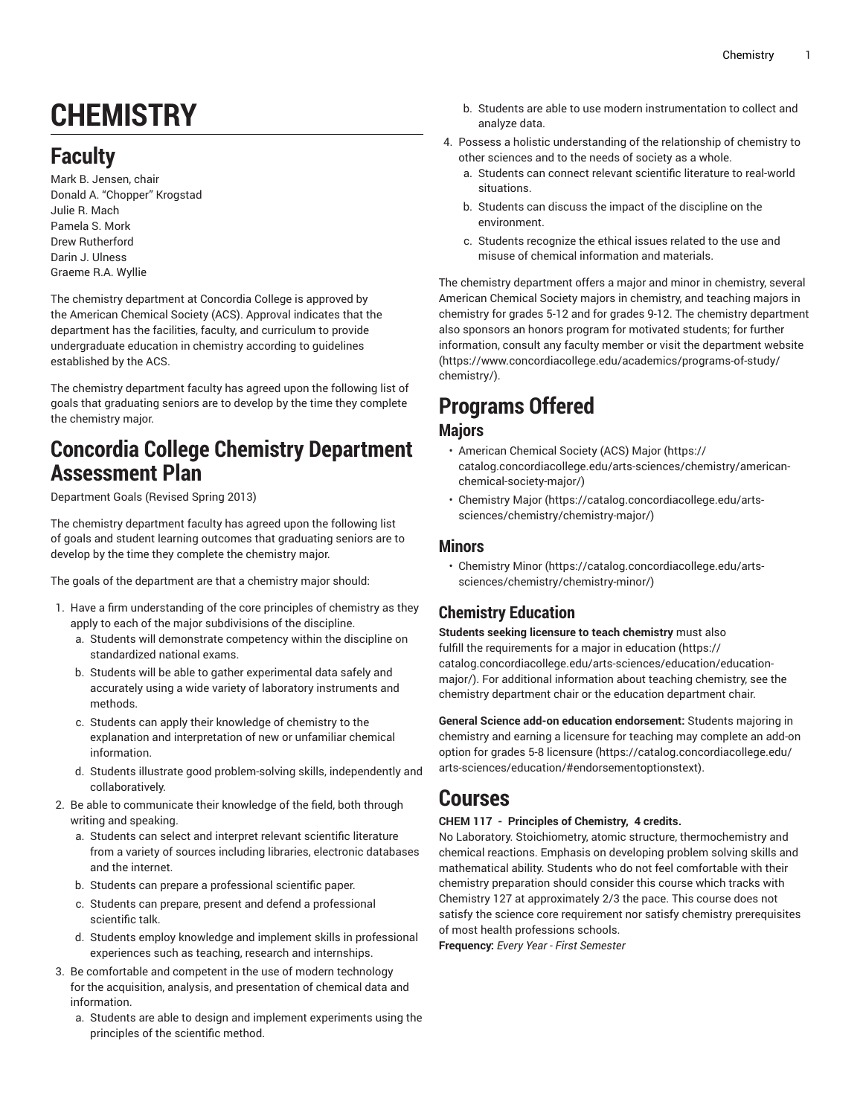# **CHEMISTRY**

## **Faculty**

Mark B. Jensen, chair Donald A. "Chopper" Krogstad Julie R. Mach Pamela S. Mork Drew Rutherford Darin J. Ulness Graeme R.A. Wyllie

The chemistry department at Concordia College is approved by the American Chemical Society (ACS). Approval indicates that the department has the facilities, faculty, and curriculum to provide undergraduate education in chemistry according to guidelines established by the ACS.

The chemistry department faculty has agreed upon the following list of goals that graduating seniors are to develop by the time they complete the chemistry major.

## **Concordia College Chemistry Department Assessment Plan**

Department Goals (Revised Spring 2013)

The chemistry department faculty has agreed upon the following list of goals and student learning outcomes that graduating seniors are to develop by the time they complete the chemistry major.

The goals of the department are that a chemistry major should:

- 1. Have a firm understanding of the core principles of chemistry as they apply to each of the major subdivisions of the discipline.
	- a. Students will demonstrate competency within the discipline on standardized national exams.
	- b. Students will be able to gather experimental data safely and accurately using a wide variety of laboratory instruments and methods.
	- c. Students can apply their knowledge of chemistry to the explanation and interpretation of new or unfamiliar chemical information.
	- d. Students illustrate good problem-solving skills, independently and collaboratively.
- 2. Be able to communicate their knowledge of the field, both through writing and speaking.
	- a. Students can select and interpret relevant scientific literature from a variety of sources including libraries, electronic databases and the internet.
	- b. Students can prepare a professional scientific paper.
	- c. Students can prepare, present and defend a professional scientific talk.
	- d. Students employ knowledge and implement skills in professional experiences such as teaching, research and internships.
- 3. Be comfortable and competent in the use of modern technology for the acquisition, analysis, and presentation of chemical data and information.
	- a. Students are able to design and implement experiments using the principles of the scientific method.
- b. Students are able to use modern instrumentation to collect and analyze data.
- 4. Possess a holistic understanding of the relationship of chemistry to other sciences and to the needs of society as a whole.
	- a. Students can connect relevant scientific literature to real-world situations.
	- b. Students can discuss the impact of the discipline on the environment.
	- c. Students recognize the ethical issues related to the use and misuse of chemical information and materials.

The chemistry department offers a major and minor in chemistry, several American Chemical Society majors in chemistry, and teaching majors in chemistry for grades 5-12 and for grades 9-12. The chemistry department also sponsors an honors program for motivated students; for further information, consult any faculty member or visit the [department](https://www.concordiacollege.edu/academics/programs-of-study/chemistry/) website [\(https://www.concordiacollege.edu/academics/programs-of-study/](https://www.concordiacollege.edu/academics/programs-of-study/chemistry/) [chemistry/](https://www.concordiacollege.edu/academics/programs-of-study/chemistry/)).

## **Programs Offered**

## **Majors**

- [American Chemical Society \(ACS\) Major](https://catalog.concordiacollege.edu/arts-sciences/chemistry/american-chemical-society-major/) ([https://](https://catalog.concordiacollege.edu/arts-sciences/chemistry/american-chemical-society-major/) [catalog.concordiacollege.edu/arts-sciences/chemistry/american](https://catalog.concordiacollege.edu/arts-sciences/chemistry/american-chemical-society-major/)[chemical-society-major/](https://catalog.concordiacollege.edu/arts-sciences/chemistry/american-chemical-society-major/))
- [Chemistry](https://catalog.concordiacollege.edu/arts-sciences/chemistry/chemistry-major/) Major [\(https://catalog.concordiacollege.edu/arts](https://catalog.concordiacollege.edu/arts-sciences/chemistry/chemistry-major/)[sciences/chemistry/chemistry-major/\)](https://catalog.concordiacollege.edu/arts-sciences/chemistry/chemistry-major/)

## **Minors**

• [Chemistry](https://catalog.concordiacollege.edu/arts-sciences/chemistry/chemistry-minor/) Minor [\(https://catalog.concordiacollege.edu/arts](https://catalog.concordiacollege.edu/arts-sciences/chemistry/chemistry-minor/)[sciences/chemistry/chemistry-minor/\)](https://catalog.concordiacollege.edu/arts-sciences/chemistry/chemistry-minor/)

## **Chemistry Education**

**Students seeking licensure to teach chemistry** must also fulfill the requirements for a [major in education \(https://](https://catalog.concordiacollege.edu/arts-sciences/education/education-major/) [catalog.concordiacollege.edu/arts-sciences/education/education](https://catalog.concordiacollege.edu/arts-sciences/education/education-major/)[major/](https://catalog.concordiacollege.edu/arts-sciences/education/education-major/)). For additional information about teaching chemistry, see the chemistry department chair or the education department chair.

**General Science add-on education endorsement:** Students majoring in chemistry and earning a licensure for teaching may complete an [add-on](https://catalog.concordiacollege.edu/arts-sciences/education/#endorsementoptionstext) option for grades 5-8 [licensure \(https://catalog.concordiacollege.edu/](https://catalog.concordiacollege.edu/arts-sciences/education/#endorsementoptionstext) [arts-sciences/education/#endorsementoptionstext](https://catalog.concordiacollege.edu/arts-sciences/education/#endorsementoptionstext)).

## **Courses**

## **CHEM 117 - Principles of Chemistry, 4 credits.**

No Laboratory. Stoichiometry, atomic structure, thermochemistry and chemical reactions. Emphasis on developing problem solving skills and mathematical ability. Students who do not feel comfortable with their chemistry preparation should consider this course which tracks with Chemistry 127 at approximately 2/3 the pace. This course does not satisfy the science core requirement nor satisfy chemistry prerequisites of most health professions schools.

**Frequency:** *Every Year - First Semester*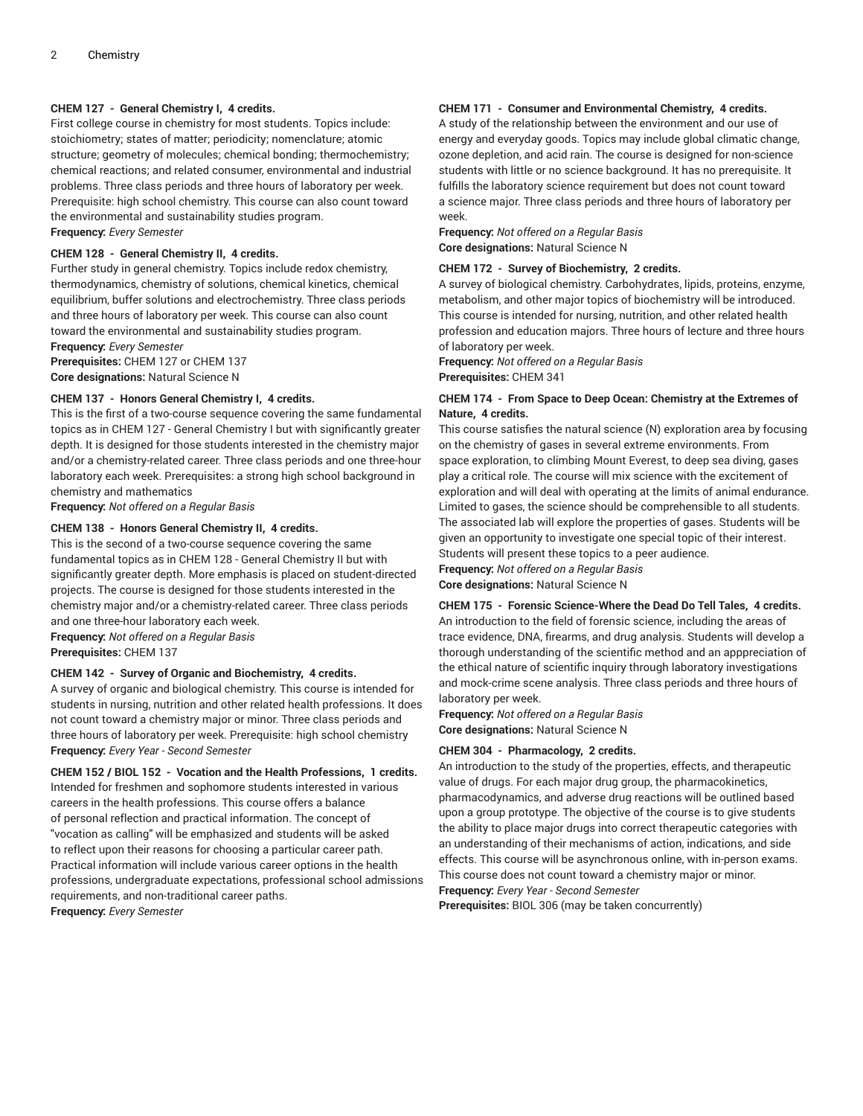## **CHEM 127 - General Chemistry I, 4 credits.**

First college course in chemistry for most students. Topics include: stoichiometry; states of matter; periodicity; nomenclature; atomic structure; geometry of molecules; chemical bonding; thermochemistry; chemical reactions; and related consumer, environmental and industrial problems. Three class periods and three hours of laboratory per week. Prerequisite: high school chemistry. This course can also count toward the environmental and sustainability studies program.

**Frequency:** *Every Semester*

## **CHEM 128 - General Chemistry II, 4 credits.**

Further study in general chemistry. Topics include redox chemistry, thermodynamics, chemistry of solutions, chemical kinetics, chemical equilibrium, buffer solutions and electrochemistry. Three class periods and three hours of laboratory per week. This course can also count toward the environmental and sustainability studies program.

**Frequency:** *Every Semester* **Prerequisites:** CHEM 127 or CHEM 137 **Core designations:** Natural Science N

## **CHEM 137 - Honors General Chemistry I, 4 credits.**

This is the first of a two-course sequence covering the same fundamental topics as in CHEM 127 - General Chemistry I but with significantly greater depth. It is designed for those students interested in the chemistry major and/or a chemistry-related career. Three class periods and one three-hour laboratory each week. Prerequisites: a strong high school background in chemistry and mathematics

**Frequency:** *Not offered on a Regular Basis*

## **CHEM 138 - Honors General Chemistry II, 4 credits.**

This is the second of a two-course sequence covering the same fundamental topics as in CHEM 128 - General Chemistry II but with significantly greater depth. More emphasis is placed on student-directed projects. The course is designed for those students interested in the chemistry major and/or a chemistry-related career. Three class periods and one three-hour laboratory each week.

**Frequency:** *Not offered on a Regular Basis*

**Prerequisites:** CHEM 137

## **CHEM 142 - Survey of Organic and Biochemistry, 4 credits.**

A survey of organic and biological chemistry. This course is intended for students in nursing, nutrition and other related health professions. It does not count toward a chemistry major or minor. Three class periods and three hours of laboratory per week. Prerequisite: high school chemistry **Frequency:** *Every Year - Second Semester*

**CHEM 152 / BIOL 152 - Vocation and the Health Professions, 1 credits.** Intended for freshmen and sophomore students interested in various careers in the health professions. This course offers a balance of personal reflection and practical information. The concept of "vocation as calling" will be emphasized and students will be asked to reflect upon their reasons for choosing a particular career path. Practical information will include various career options in the health professions, undergraduate expectations, professional school admissions requirements, and non-traditional career paths. **Frequency:** *Every Semester*

## **CHEM 171 - Consumer and Environmental Chemistry, 4 credits.**

A study of the relationship between the environment and our use of energy and everyday goods. Topics may include global climatic change, ozone depletion, and acid rain. The course is designed for non-science students with little or no science background. It has no prerequisite. It fulfills the laboratory science requirement but does not count toward a science major. Three class periods and three hours of laboratory per week.

**Frequency:** *Not offered on a Regular Basis* **Core designations:** Natural Science N

## **CHEM 172 - Survey of Biochemistry, 2 credits.**

A survey of biological chemistry. Carbohydrates, lipids, proteins, enzyme, metabolism, and other major topics of biochemistry will be introduced. This course is intended for nursing, nutrition, and other related health profession and education majors. Three hours of lecture and three hours of laboratory per week.

**Frequency:** *Not offered on a Regular Basis* **Prerequisites:** CHEM 341

## **CHEM 174 - From Space to Deep Ocean: Chemistry at the Extremes of Nature, 4 credits.**

This course satisfies the natural science (N) exploration area by focusing on the chemistry of gases in several extreme environments. From space exploration, to climbing Mount Everest, to deep sea diving, gases play a critical role. The course will mix science with the excitement of exploration and will deal with operating at the limits of animal endurance. Limited to gases, the science should be comprehensible to all students. The associated lab will explore the properties of gases. Students will be given an opportunity to investigate one special topic of their interest. Students will present these topics to a peer audience. **Frequency:** *Not offered on a Regular Basis*

**Core designations:** Natural Science N

**CHEM 175 - Forensic Science-Where the Dead Do Tell Tales, 4 credits.** An introduction to the field of forensic science, including the areas of trace evidence, DNA, firearms, and drug analysis. Students will develop a thorough understanding of the scientific method and an apppreciation of the ethical nature of scientific inquiry through laboratory investigations

and mock-crime scene analysis. Three class periods and three hours of

laboratory per week. **Frequency:** *Not offered on a Regular Basis* **Core designations:** Natural Science N

#### **CHEM 304 - Pharmacology, 2 credits.**

An introduction to the study of the properties, effects, and therapeutic value of drugs. For each major drug group, the pharmacokinetics, pharmacodynamics, and adverse drug reactions will be outlined based upon a group prototype. The objective of the course is to give students the ability to place major drugs into correct therapeutic categories with an understanding of their mechanisms of action, indications, and side effects. This course will be asynchronous online, with in-person exams. This course does not count toward a chemistry major or minor.

**Frequency:** *Every Year - Second Semester*

**Prerequisites:** BIOL 306 (may be taken concurrently)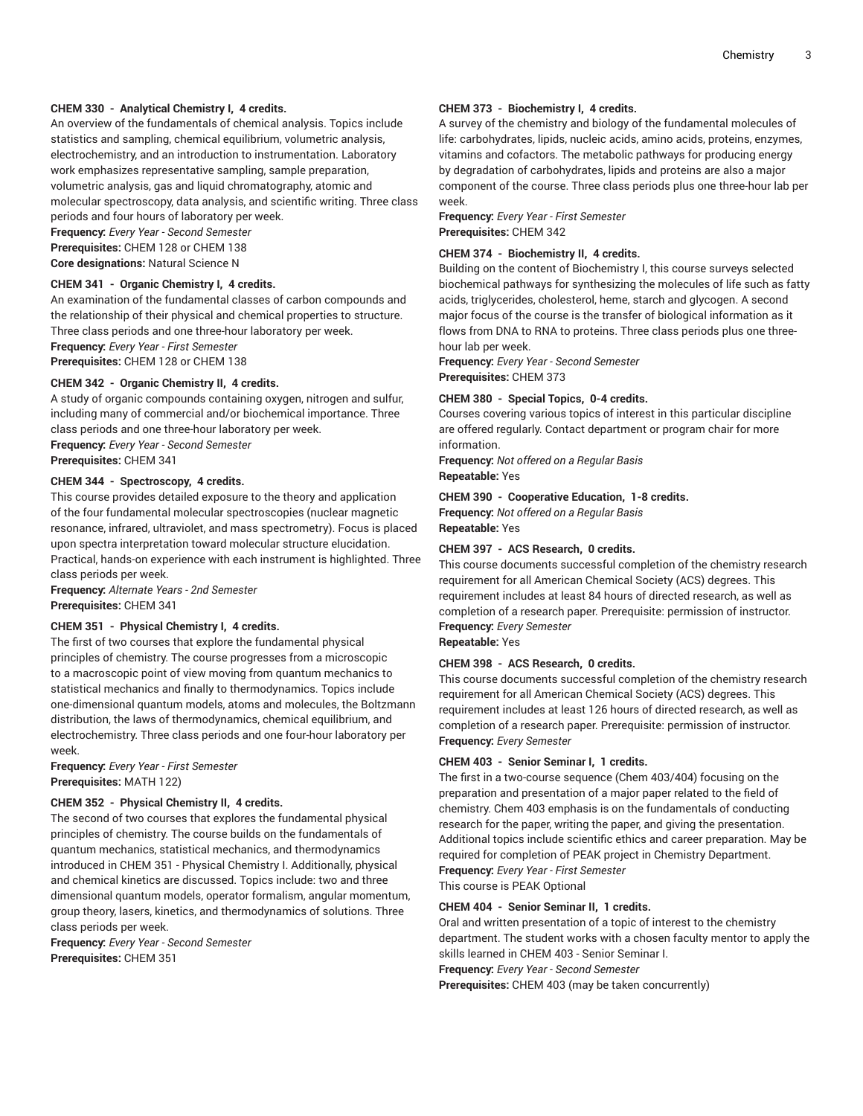## **CHEM 330 - Analytical Chemistry I, 4 credits.**

An overview of the fundamentals of chemical analysis. Topics include statistics and sampling, chemical equilibrium, volumetric analysis, electrochemistry, and an introduction to instrumentation. Laboratory work emphasizes representative sampling, sample preparation, volumetric analysis, gas and liquid chromatography, atomic and molecular spectroscopy, data analysis, and scientific writing. Three class periods and four hours of laboratory per week.

**Frequency:** *Every Year - Second Semester*

**Prerequisites:** CHEM 128 or CHEM 138 **Core designations:** Natural Science N

## **CHEM 341 - Organic Chemistry I, 4 credits.**

An examination of the fundamental classes of carbon compounds and the relationship of their physical and chemical properties to structure. Three class periods and one three-hour laboratory per week. **Frequency:** *Every Year - First Semester*

**Prerequisites:** CHEM 128 or CHEM 138

## **CHEM 342 - Organic Chemistry II, 4 credits.**

A study of organic compounds containing oxygen, nitrogen and sulfur, including many of commercial and/or biochemical importance. Three class periods and one three-hour laboratory per week.

**Frequency:** *Every Year - Second Semester*

**Prerequisites:** CHEM 341

## **CHEM 344 - Spectroscopy, 4 credits.**

This course provides detailed exposure to the theory and application of the four fundamental molecular spectroscopies (nuclear magnetic resonance, infrared, ultraviolet, and mass spectrometry). Focus is placed upon spectra interpretation toward molecular structure elucidation. Practical, hands-on experience with each instrument is highlighted. Three class periods per week.

**Frequency:** *Alternate Years - 2nd Semester* **Prerequisites:** CHEM 341

## **CHEM 351 - Physical Chemistry I, 4 credits.**

The first of two courses that explore the fundamental physical principles of chemistry. The course progresses from a microscopic to a macroscopic point of view moving from quantum mechanics to statistical mechanics and finally to thermodynamics. Topics include one-dimensional quantum models, atoms and molecules, the Boltzmann distribution, the laws of thermodynamics, chemical equilibrium, and electrochemistry. Three class periods and one four-hour laboratory per week.

**Frequency:** *Every Year - First Semester* **Prerequisites:** MATH 122)

#### **CHEM 352 - Physical Chemistry II, 4 credits.**

The second of two courses that explores the fundamental physical principles of chemistry. The course builds on the fundamentals of quantum mechanics, statistical mechanics, and thermodynamics introduced in CHEM 351 - Physical Chemistry I. Additionally, physical and chemical kinetics are discussed. Topics include: two and three dimensional quantum models, operator formalism, angular momentum, group theory, lasers, kinetics, and thermodynamics of solutions. Three class periods per week.

**Frequency:** *Every Year - Second Semester* **Prerequisites:** CHEM 351

## **CHEM 373 - Biochemistry I, 4 credits.**

A survey of the chemistry and biology of the fundamental molecules of life: carbohydrates, lipids, nucleic acids, amino acids, proteins, enzymes, vitamins and cofactors. The metabolic pathways for producing energy by degradation of carbohydrates, lipids and proteins are also a major component of the course. Three class periods plus one three-hour lab per week.

**Frequency:** *Every Year - First Semester* **Prerequisites:** CHEM 342

## **CHEM 374 - Biochemistry II, 4 credits.**

Building on the content of Biochemistry I, this course surveys selected biochemical pathways for synthesizing the molecules of life such as fatty acids, triglycerides, cholesterol, heme, starch and glycogen. A second major focus of the course is the transfer of biological information as it flows from DNA to RNA to proteins. Three class periods plus one threehour lab per week.

**Frequency:** *Every Year - Second Semester* **Prerequisites:** CHEM 373

#### **CHEM 380 - Special Topics, 0-4 credits.**

Courses covering various topics of interest in this particular discipline are offered regularly. Contact department or program chair for more information.

**Frequency:** *Not offered on a Regular Basis* **Repeatable:** Yes

**CHEM 390 - Cooperative Education, 1-8 credits.**

**Frequency:** *Not offered on a Regular Basis* **Repeatable:** Yes

## **CHEM 397 - ACS Research, 0 credits.**

This course documents successful completion of the chemistry research requirement for all American Chemical Society (ACS) degrees. This requirement includes at least 84 hours of directed research, as well as completion of a research paper. Prerequisite: permission of instructor. **Frequency:** *Every Semester*

**Repeatable:** Yes

### **CHEM 398 - ACS Research, 0 credits.**

This course documents successful completion of the chemistry research requirement for all American Chemical Society (ACS) degrees. This requirement includes at least 126 hours of directed research, as well as completion of a research paper. Prerequisite: permission of instructor. **Frequency:** *Every Semester*

#### **CHEM 403 - Senior Seminar I, 1 credits.**

The first in a two-course sequence (Chem 403/404) focusing on the preparation and presentation of a major paper related to the field of chemistry. Chem 403 emphasis is on the fundamentals of conducting research for the paper, writing the paper, and giving the presentation. Additional topics include scientific ethics and career preparation. May be required for completion of PEAK project in Chemistry Department. **Frequency:** *Every Year - First Semester*

This course is PEAK Optional

## **CHEM 404 - Senior Seminar II, 1 credits.**

Oral and written presentation of a topic of interest to the chemistry department. The student works with a chosen faculty mentor to apply the skills learned in CHEM 403 - Senior Seminar I.

**Frequency:** *Every Year - Second Semester*

**Prerequisites:** CHEM 403 (may be taken concurrently)